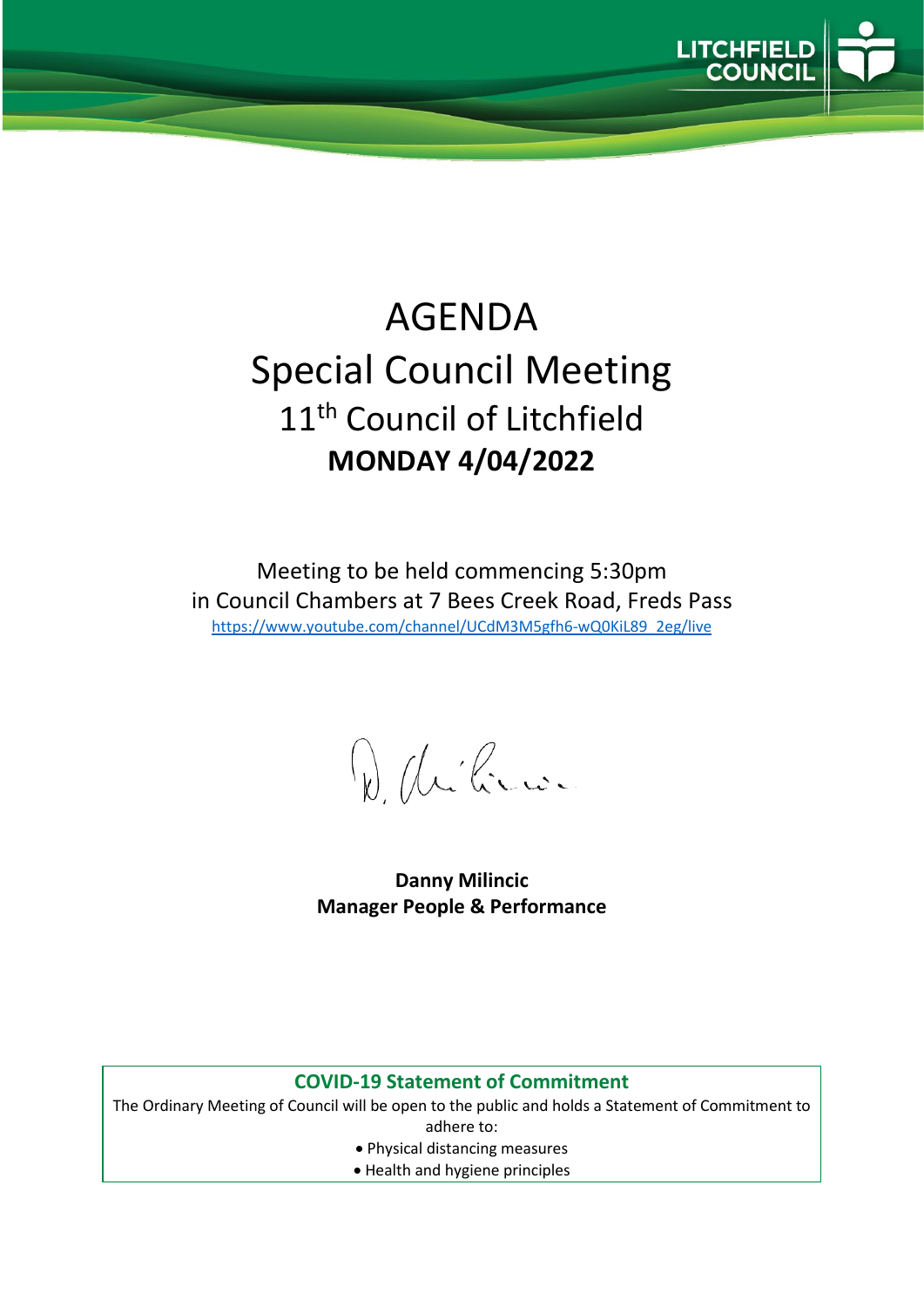

# AGENDA Special Council Meeting 11<sup>th</sup> Council of Litchfield **MONDAY 4/04/2022**

Meeting to be held commencing 5:30pm in Council Chambers at 7 Bees Creek Road, Freds Pass [https://www.youtube.com/channel/UCdM3M5gfh6-wQ0KiL89\\_2eg/live](https://www.youtube.com/channel/UCdM3M5gfh6-wQ0KiL89_2eg/live)

D. delice

**Danny Milincic Manager People & Performance**

#### **COVID-19 Statement of Commitment**

The Ordinary Meeting of Council will be open to the public and holds a Statement of Commitment to adhere to:

- Physical distancing measures
- Health and hygiene principles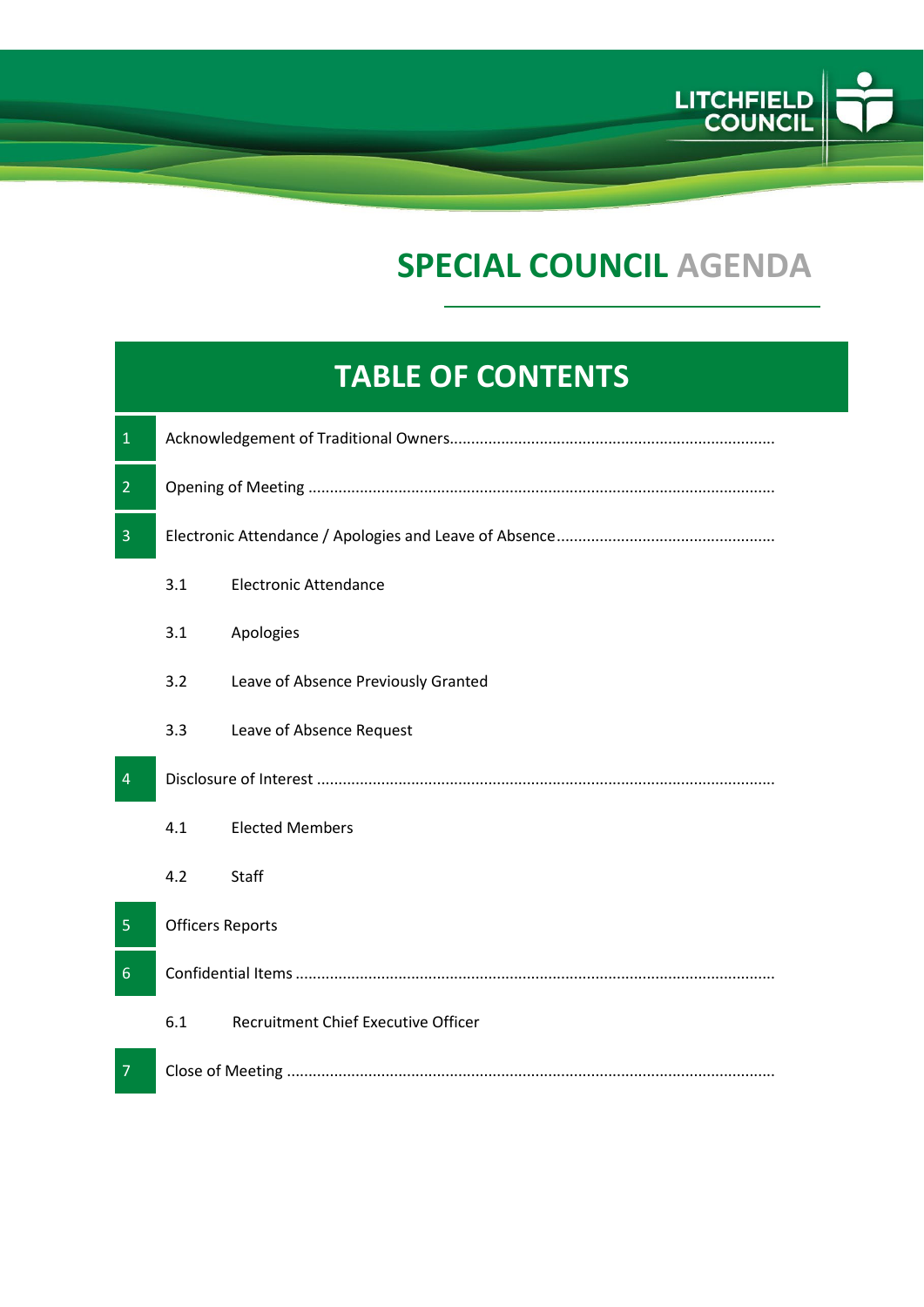

## **SPECIAL COUNCIL AGENDA**

### **TABLE OF CONTENTS**

| $\mathbf{1}$   |                         |                                     |
|----------------|-------------------------|-------------------------------------|
| $\overline{2}$ |                         |                                     |
| $\overline{3}$ |                         |                                     |
|                | 3.1                     | <b>Electronic Attendance</b>        |
|                | 3.1                     | Apologies                           |
|                | 3.2                     | Leave of Absence Previously Granted |
|                | 3.3                     | Leave of Absence Request            |
|                |                         |                                     |
| $\overline{4}$ |                         |                                     |
|                | 4.1                     | <b>Elected Members</b>              |
|                | 4.2                     | Staff                               |
| 5              | <b>Officers Reports</b> |                                     |
| $6\phantom{1}$ |                         |                                     |
|                | 6.1                     | Recruitment Chief Executive Officer |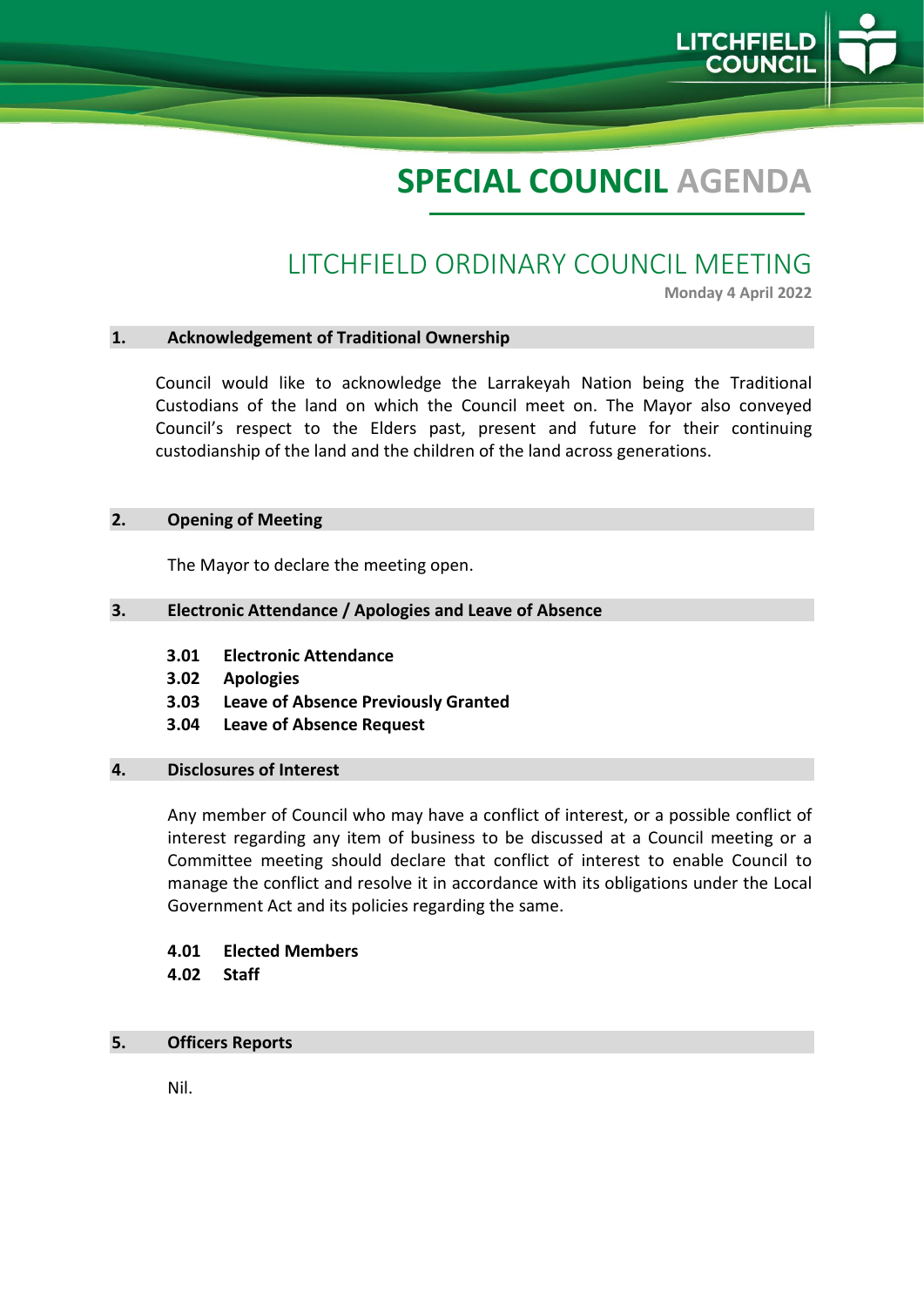## **SPECIAL COUNCIL AGENDA**

### LITCHFIELD ORDINARY COUNCIL MEETING

**Monday 4 April 2022**

LITCHFIE

#### **1. Acknowledgement of Traditional Ownership**

Council would like to acknowledge the Larrakeyah Nation being the Traditional Custodians of the land on which the Council meet on. The Mayor also conveyed Council's respect to the Elders past, present and future for their continuing custodianship of the land and the children of the land across generations.

#### **2. Opening of Meeting**

The Mayor to declare the meeting open.

#### **3. Electronic Attendance / Apologies and Leave of Absence**

- **3.01 Electronic Attendance**
- **3.02 Apologies**
- **3.03 Leave of Absence Previously Granted**
- **3.04 Leave of Absence Request**

#### **4. Disclosures of Interest**

Any member of Council who may have a conflict of interest, or a possible conflict of interest regarding any item of business to be discussed at a Council meeting or a Committee meeting should declare that conflict of interest to enable Council to manage the conflict and resolve it in accordance with its obligations under the Local Government Act and its policies regarding the same.

#### **4.01 Elected Members 4.02 Staff**

#### **5. Officers Reports**

Nil.